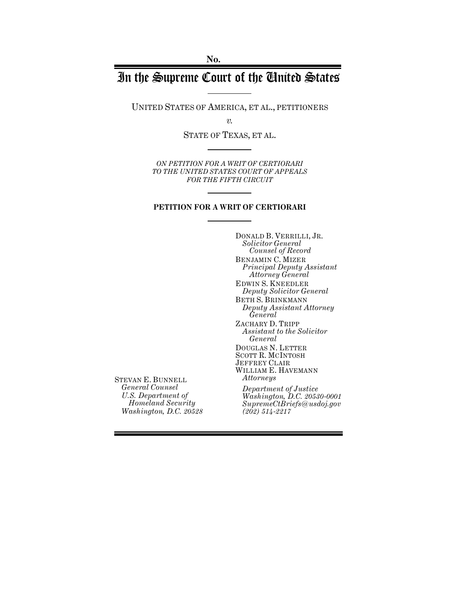# In the Supreme Court of the United States

UNITED STATES OF AMERICA, ET AL., PETITIONERS

*v.*

STATE OF TEXAS, ET AL.

*ON PETITION FOR A WRIT OF CERTIORARI TO THE UNITED STATES COURT OF APPEALS FOR THE FIFTH CIRCUIT*

#### **PETITION FOR A WRIT OF CERTIORARI**

DONALD B. VERRILLI, JR. *Solicitor General Counsel of Record* BENJAMIN C. MIZER *Principal Deputy Assistant Attorney General* EDWIN S. KNEEDLER *Deputy Solicitor General* BETH S. BRINKMANN *Deputy Assistant Attorney General* ZACHARY D. TRIPP *Assistant to the Solicitor General* DOUGLAS N. LETTER SCOTT R. MCINTOSH JEFFREY CLAIR WILLIAM E. HAVEMANN *Attorneys Department of Justice Washington, D.C. 20530-0001 SupremeCtBriefs@usdoj.gov (202) 514-2217*

STEVAN E. BUNNELL *General Counsel U.S. Department of Homeland Security Washington, D.C. 20528*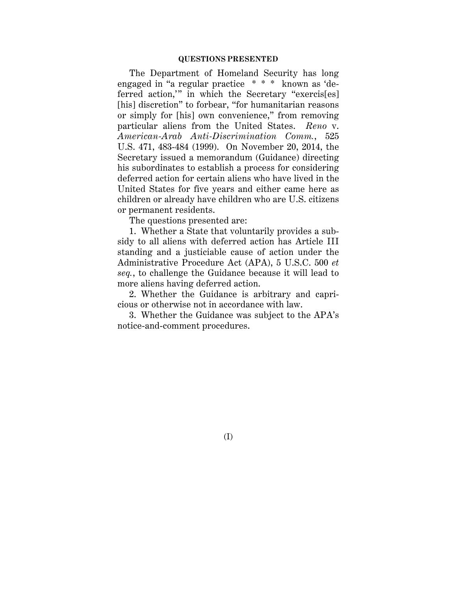#### **QUESTIONS PRESENTED**

The Department of Homeland Security has long engaged in "a regular practice \* \* \* known as 'deferred action,'" in which the Secretary "exercis[es] [his] discretion" to forbear, "for humanitarian reasons or simply for [his] own convenience," from removing particular aliens from the United States. *Reno* v. *American-Arab Anti-Discrimination Comm.*, 525 U.S. 471, 483-484 (1999). On November 20, 2014, the Secretary issued a memorandum (Guidance) directing his subordinates to establish a process for considering deferred action for certain aliens who have lived in the United States for five years and either came here as children or already have children who are U.S. citizens or permanent residents.

The questions presented are:

1. Whether a State that voluntarily provides a subsidy to all aliens with deferred action has Article III standing and a justiciable cause of action under the Administrative Procedure Act (APA), 5 U.S.C. 500 *et seq.*, to challenge the Guidance because it will lead to more aliens having deferred action.

2. Whether the Guidance is arbitrary and capricious or otherwise not in accordance with law.

3. Whether the Guidance was subject to the APA's notice-and-comment procedures.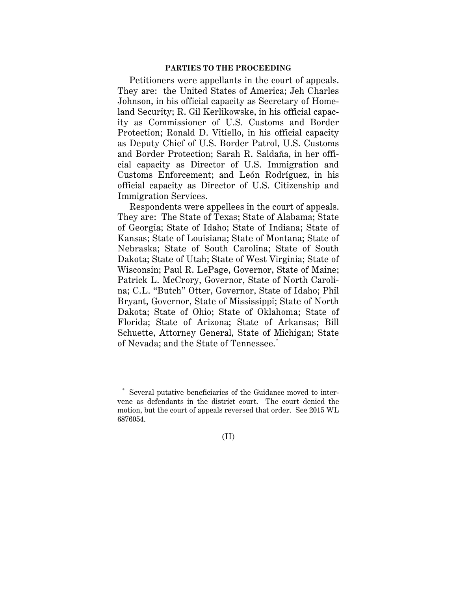#### **PARTIES TO THE PROCEEDING**

Petitioners were appellants in the court of appeals. They are: the United States of America; Jeh Charles Johnson, in his official capacity as Secretary of Homeland Security; R. Gil Kerlikowske, in his official capacity as Commissioner of U.S. Customs and Border Protection; Ronald D. Vitiello, in his official capacity as Deputy Chief of U.S. Border Patrol, U.S. Customs and Border Protection; Sarah R. Saldaña, in her official capacity as Director of U.S. Immigration and Customs Enforcement; and León Rodríguez, in his official capacity as Director of U.S. Citizenship and Immigration Services.

Respondents were appellees in the court of appeals. They are: The State of Texas; State of Alabama; State of Georgia; State of Idaho; State of Indiana; State of Kansas; State of Louisiana; State of Montana; State of Nebraska; State of South Carolina; State of South Dakota; State of Utah; State of West Virginia; State of Wisconsin; Paul R. LePage, Governor, State of Maine; Patrick L. McCrory, Governor, State of North Carolina; C.L. "Butch" Otter, Governor, State of Idaho; Phil Bryant, Governor, State of Mississippi; State of North Dakota; State of Ohio; State of Oklahoma; State of Florida; State of Arizona; State of Arkansas; Bill Schuette, Attorney General, State of Michigan; State of Nevada; and the State of Tennessee. \*

(II)

 <sup>\*</sup> Several putative beneficiaries of the Guidance moved to intervene as defendants in the district court. The court denied the motion, but the court of appeals reversed that order. See 2015 WL 6876054.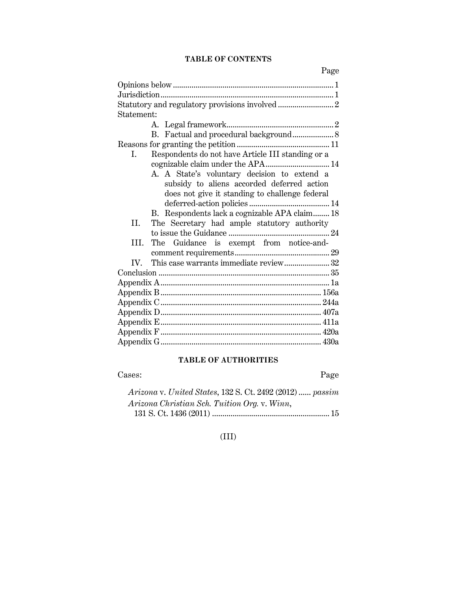## **TABLE OF CONTENTS**

| Statement:                                              |
|---------------------------------------------------------|
|                                                         |
| B. Factual and procedural background 8                  |
|                                                         |
| Respondents do not have Article III standing or a<br>L. |
| cognizable claim under the APA 14                       |
| A. A State's voluntary decision to extend a             |
| subsidy to aliens accorded deferred action              |
| does not give it standing to challenge federal          |
|                                                         |
| B. Respondents lack a cognizable APA claim 18           |
| The Secretary had ample statutory authority<br>H.       |
|                                                         |
| The Guidance is exempt from notice-and-<br>III.         |
|                                                         |
| This case warrants immediate review32<br>IV.            |
|                                                         |
|                                                         |
|                                                         |
|                                                         |
|                                                         |
|                                                         |
|                                                         |
|                                                         |
|                                                         |

## **TABLE OF AUTHORITIES**

Cases: Page

| Arizona v. United States, 132 S. Ct. 2492 (2012)  passim |
|----------------------------------------------------------|
| Arizona Christian Sch. Tuition Org. v. Winn,             |
|                                                          |

(III)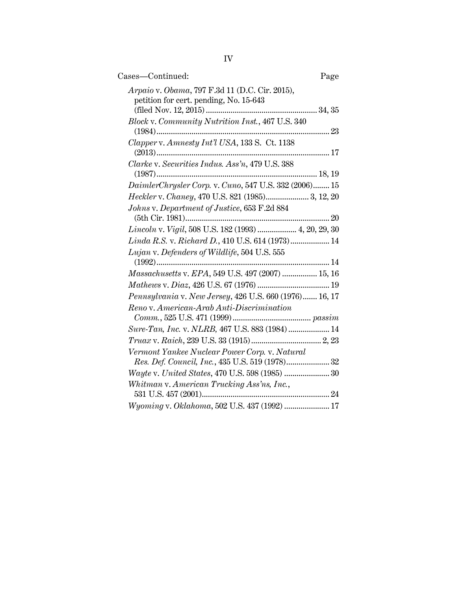| Cases-Continued:<br>Page                                                                 |
|------------------------------------------------------------------------------------------|
| Arpaio v. Obama, 797 F.3d 11 (D.C. Cir. 2015),<br>petition for cert. pending, No. 15-643 |
| Block v. Community Nutrition Inst., 467 U.S. 340                                         |
| Clapper v. Amnesty Int'l USA, 133 S. Ct. 1138                                            |
| Clarke v. Securities Indus. Ass'n, 479 U.S. 388                                          |
| DaimlerChrysler Corp. v. Cuno, 547 U.S. 332 (2006) 15                                    |
| Heckler v. Chaney, 470 U.S. 821 (1985) 3, 12, 20                                         |
| Johns v. Department of Justice, 653 F.2d 884                                             |
| Lincoln v. Vigil, 508 U.S. 182 (1993)  4, 20, 29, 30                                     |
| Linda R.S. v. Richard D., 410 U.S. 614 (1973) 14                                         |
| Lujan v. Defenders of Wildlife, 504 U.S. 555                                             |
| Massachusetts v. EPA, 549 U.S. 497 (2007)  15, 16                                        |
|                                                                                          |
| Pennsylvania v. New Jersey, 426 U.S. 660 (1976) 16, 17                                   |
| Reno v. American-Arab Anti-Discrimination                                                |
| Sure-Tan, Inc. v. NLRB, 467 U.S. 883 (1984) 14                                           |
|                                                                                          |
| Vermont Yankee Nuclear Power Corp. v. Natural                                            |
| Wayte v. United States, 470 U.S. 598 (1985)  30                                          |
| Whitman v. American Trucking Ass'ns, Inc.,                                               |
| Wyoming v. Oklahoma, 502 U.S. 437 (1992)  17                                             |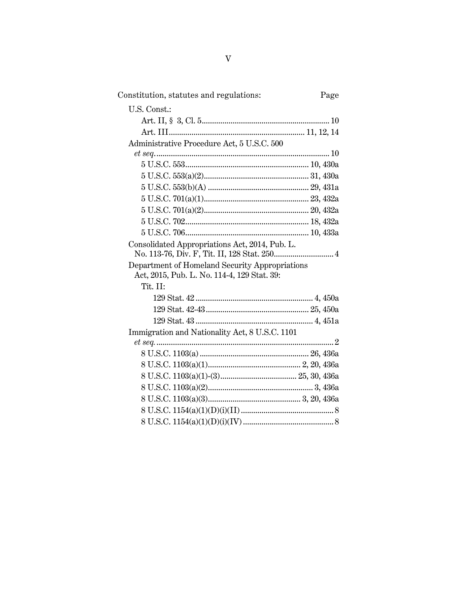| Constitution, statutes and regulations:        | Page |
|------------------------------------------------|------|
| U.S. Const.:                                   |      |
|                                                |      |
|                                                |      |
| Administrative Procedure Act, 5 U.S.C. 500     |      |
|                                                |      |
|                                                |      |
|                                                |      |
|                                                |      |
|                                                |      |
|                                                |      |
|                                                |      |
|                                                |      |
| Consolidated Appropriations Act, 2014, Pub. L. |      |
|                                                |      |
| Department of Homeland Security Appropriations |      |
| Act, 2015, Pub. L. No. 114-4, 129 Stat. 39:    |      |
| Tit. II:                                       |      |
|                                                |      |
|                                                |      |
|                                                |      |
| Immigration and Nationality Act, 8 U.S.C. 1101 |      |
|                                                |      |
|                                                |      |
|                                                |      |
|                                                |      |
|                                                |      |
|                                                |      |
|                                                |      |
|                                                |      |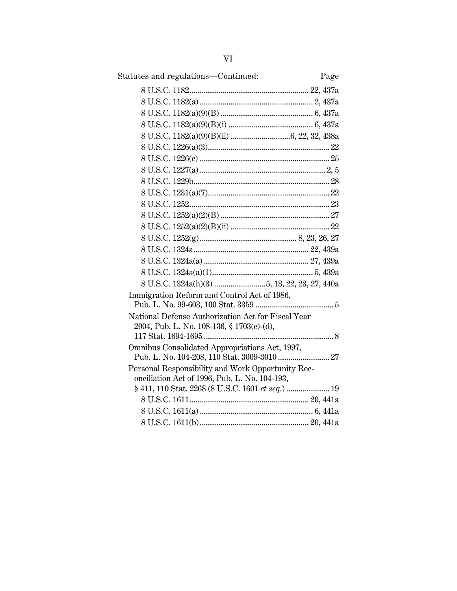| Statutes and regulations-Continued:                | Page |
|----------------------------------------------------|------|
|                                                    |      |
|                                                    |      |
|                                                    |      |
|                                                    |      |
|                                                    |      |
|                                                    |      |
|                                                    |      |
|                                                    |      |
|                                                    |      |
|                                                    |      |
|                                                    |      |
|                                                    |      |
|                                                    |      |
|                                                    |      |
|                                                    |      |
|                                                    |      |
|                                                    |      |
|                                                    |      |
| Immigration Reform and Control Act of 1986,        |      |
|                                                    |      |
| National Defense Authorization Act for Fiscal Year |      |
| 2004, Pub. L. No. 108-136, § 1703(c)-(d),          |      |
|                                                    |      |
| Omnibus Consolidated Appropriations Act, 1997,     |      |
| Personal Responsibility and Work Opportunity Rec-  |      |
| onciliation Act of 1996, Pub. L. No. 104-193,      |      |
|                                                    |      |
|                                                    |      |
|                                                    |      |
|                                                    |      |
|                                                    |      |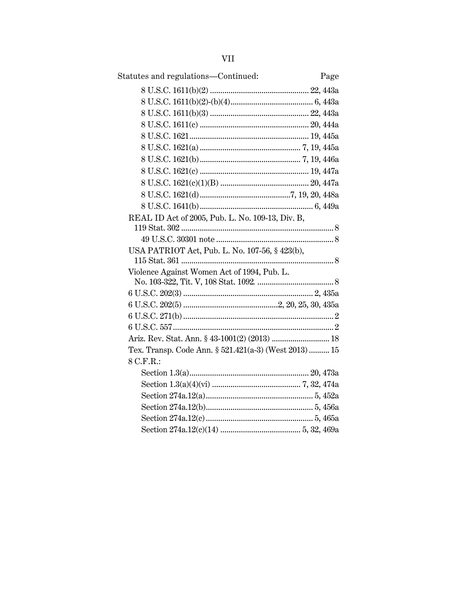| Statutes and regulations-Continued:<br>Page           |
|-------------------------------------------------------|
|                                                       |
|                                                       |
|                                                       |
|                                                       |
|                                                       |
|                                                       |
|                                                       |
|                                                       |
|                                                       |
|                                                       |
|                                                       |
| REAL ID Act of 2005, Pub. L. No. 109-13, Div. B,      |
|                                                       |
|                                                       |
| USA PATRIOT Act, Pub. L. No. 107-56, § 423(b),        |
| Violence Against Women Act of 1994, Pub. L.           |
|                                                       |
|                                                       |
|                                                       |
|                                                       |
|                                                       |
|                                                       |
| Tex. Transp. Code Ann. § 521.421(a-3) (West 2013)  15 |
| 8 C.F.R.:                                             |
|                                                       |
|                                                       |
|                                                       |
|                                                       |
|                                                       |
|                                                       |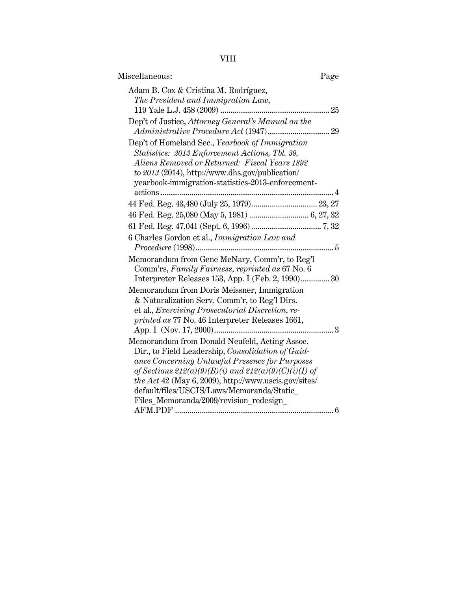VIII

| Miscellaneous:                                                                                                                                                                                                                                                                                                                                                    | Page |
|-------------------------------------------------------------------------------------------------------------------------------------------------------------------------------------------------------------------------------------------------------------------------------------------------------------------------------------------------------------------|------|
| Adam B. Cox & Cristina M. Rodríguez,<br>The President and Immigration Law,                                                                                                                                                                                                                                                                                        |      |
| Dep't of Justice, Attorney General's Manual on the                                                                                                                                                                                                                                                                                                                |      |
| Dep't of Homeland Sec., Yearbook of Immigration<br>Statistics: 2013 Enforcement Actions, Tbl. 39,<br>Aliens Removed or Returned: Fiscal Years 1892<br>to 2013 (2014), http://www.dhs.gov/publication/<br>yearbook-immigration-statistics-2013-enforcement-                                                                                                        |      |
| 44 Fed. Reg. 43,480 (July 25, 1979) 23, 27                                                                                                                                                                                                                                                                                                                        |      |
|                                                                                                                                                                                                                                                                                                                                                                   |      |
|                                                                                                                                                                                                                                                                                                                                                                   |      |
| 6 Charles Gordon et al., Immigration Law and                                                                                                                                                                                                                                                                                                                      |      |
| Memorandum from Gene McNary, Comm'r, to Reg'l<br>Comm'rs, Family Fairness, reprinted as 67 No. 6<br>Interpreter Releases 153, App. I (Feb. 2, 1990) 30                                                                                                                                                                                                            |      |
| Memorandum from Doris Meissner, Immigration<br>& Naturalization Serv. Comm'r, to Reg'l Dirs.<br>et al., <i>Exercising Prosecutorial Discretion</i> , <i>re-</i><br>printed as 77 No. 46 Interpreter Releases 1661,                                                                                                                                                |      |
| Memorandum from Donald Neufeld, Acting Assoc.<br>Dir., to Field Leadership, Consolidation of Guid-<br>ance Concerning Unlawful Presence for Purposes<br>of Sections $212(a)(9)(B)(i)$ and $212(a)(9)(C)(i)(I)$ of<br>the Act 42 (May 6, 2009), http://www.uscis.gov/sites/<br>default/files/USCIS/Laws/Memoranda/Static<br>Files Memoranda/2009/revision redesign |      |
|                                                                                                                                                                                                                                                                                                                                                                   |      |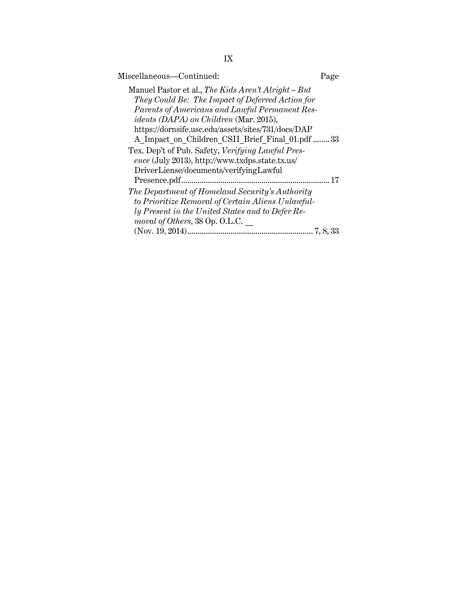| Miscellaneous-Continued:                             | Page |
|------------------------------------------------------|------|
| Manuel Pastor et al., The Kids Aren't Alright – But  |      |
| They Could Be: The Impact of Deferred Action for     |      |
| Parents of Americans and Lawful Permanent Res-       |      |
| <i>idents (DAPA)</i> on <i>Children</i> (Mar. 2015), |      |
| https://dornsife.usc.edu/assets/sites/731/docs/DAP   |      |
| A Impact on Children CSII Brief Final 01.pdf  33     |      |
| Tex. Dep't of Pub. Safety, Verifying Lawful Pres-    |      |
| ence (July 2013), http://www.txdps.state.tx.us/      |      |
| DriverLiense/documents/verifyingLawful               |      |
| Presence.pdf                                         | 17   |
| The Department of Homeland Security's Authority      |      |
| to Prioritize Removal of Certain Aliens Unlawful-    |      |
| ly Present in the United States and to Defer Re-     |      |
| moval of Others, 38 Op. O.L.C.                       |      |
|                                                      |      |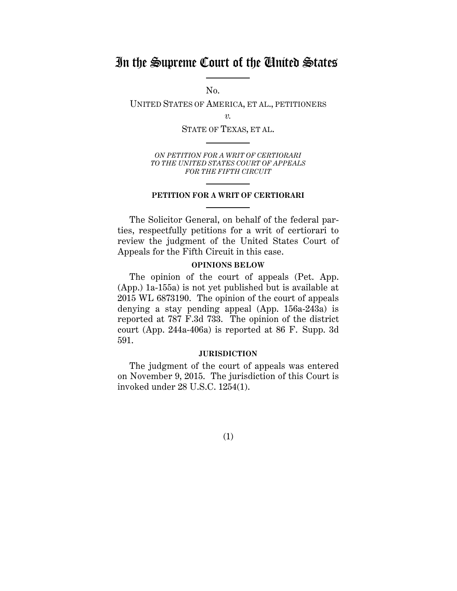## In the Supreme Court of the United States

No.

UNITED STATES OF AMERICA, ET AL., PETITIONERS

*v.*

STATE OF TEXAS, ET AL.

*ON PETITION FOR A WRIT OF CERTIORARI TO THE UNITED STATES COURT OF APPEALS FOR THE FIFTH CIRCUIT*

#### **PETITION FOR A WRIT OF CERTIORARI**

The Solicitor General, on behalf of the federal parties, respectfully petitions for a writ of certiorari to review the judgment of the United States Court of Appeals for the Fifth Circuit in this case.

## **OPINIONS BELOW**

The opinion of the court of appeals (Pet. App. (App.) 1a-155a) is not yet published but is available at 2015 WL 6873190. The opinion of the court of appeals denying a stay pending appeal (App. 156a-243a) is reported at 787 F.3d 733. The opinion of the district court (App. 244a-406a) is reported at 86 F. Supp. 3d 591.

## **JURISDICTION**

The judgment of the court of appeals was entered on November 9, 2015. The jurisdiction of this Court is invoked under 28 U.S.C. 1254(1).

(1)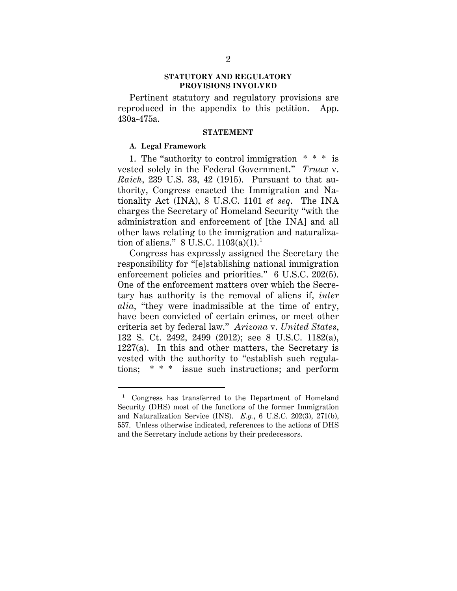#### **STATUTORY AND REGULATORY PROVISIONS INVOLVED**

Pertinent statutory and regulatory provisions are reproduced in the appendix to this petition. App. 430a-475a.

#### **STATEMENT**

## **A. Legal Framework**

1. The "authority to control immigration \* \* \* is vested solely in the Federal Government." *Truax* v. *Raich*, 239 U.S. 33, 42 (1915). Pursuant to that authority, Congress enacted the Immigration and Nationality Act (INA), 8 U.S.C. 1101 *et seq*. The INA charges the Secretary of Homeland Security "with the administration and enforcement of [the INA] and all other laws relating to the immigration and naturalization of aliens." 8 U.S.C.  $1103(a)(1)$ .<sup>1</sup>

Congress has expressly assigned the Secretary the responsibility for "[e]stablishing national immigration enforcement policies and priorities." 6 U.S.C. 202(5). One of the enforcement matters over which the Secretary has authority is the removal of aliens if, *inter alia*, "they were inadmissible at the time of entry, have been convicted of certain crimes, or meet other criteria set by federal law." *Arizona* v. *United States*, 132 S. Ct. 2492, 2499 (2012); see 8 U.S.C. 1182(a),  $1227(a)$ . In this and other matters, the Secretary is vested with the authority to "establish such regulations; \* \* \* issue such instructions; and perform

<sup>&</sup>lt;sup>1</sup> Congress has transferred to the Department of Homeland Security (DHS) most of the functions of the former Immigration and Naturalization Service (INS). *E.g.*, 6 U.S.C. 202(3), 271(b), 557. Unless otherwise indicated, references to the actions of DHS and the Secretary include actions by their predecessors.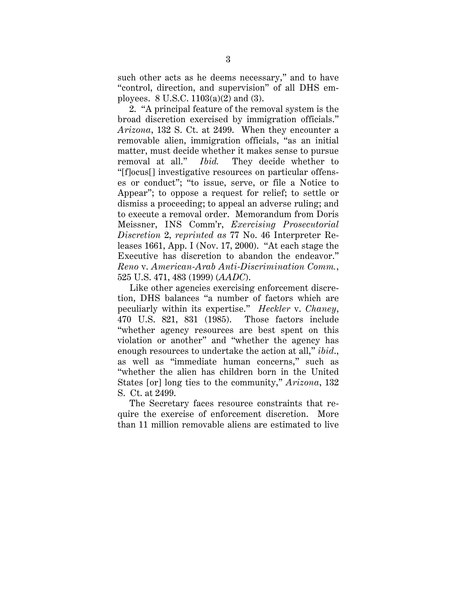such other acts as he deems necessary," and to have "control, direction, and supervision" of all DHS employees. 8 U.S.C. 1103(a)(2) and (3).

2. "A principal feature of the removal system is the broad discretion exercised by immigration officials." *Arizona*, 132 S. Ct. at 2499. When they encounter a removable alien, immigration officials, "as an initial matter, must decide whether it makes sense to pursue removal at all." *Ibid.* They decide whether to "[f]ocus[] investigative resources on particular offenses or conduct"; "to issue, serve, or file a Notice to Appear"; to oppose a request for relief; to settle or dismiss a proceeding; to appeal an adverse ruling; and to execute a removal order. Memorandum from Doris Meissner, INS Comm'r, *Exercising Prosecutorial Discretion* 2, *reprinted as* 77 No. 46 Interpreter Releases 1661, App. I (Nov. 17, 2000). "At each stage the Executive has discretion to abandon the endeavor." *Reno* v. *American-Arab Anti-Discrimination Comm.*, 525 U.S. 471, 483 (1999) (*AADC*).

Like other agencies exercising enforcement discretion, DHS balances "a number of factors which are peculiarly within its expertise." *Heckler* v. *Chaney*, 470 U.S. 821, 831 (1985). Those factors include "whether agency resources are best spent on this violation or another" and "whether the agency has enough resources to undertake the action at all," *ibid*., as well as "immediate human concerns," such as "whether the alien has children born in the United States [or] long ties to the community," *Arizona*, 132 S. Ct. at 2499.

The Secretary faces resource constraints that require the exercise of enforcement discretion. More than 11 million removable aliens are estimated to live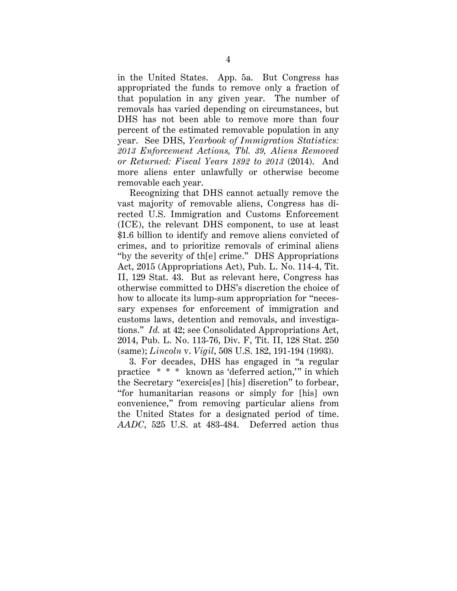in the United States. App. 5a. But Congress has appropriated the funds to remove only a fraction of that population in any given year. The number of removals has varied depending on circumstances, but DHS has not been able to remove more than four percent of the estimated removable population in any year. See DHS, *Yearbook of Immigration Statistics: 2013 Enforcement Actions, Tbl. 39, Aliens Removed or Returned: Fiscal Years 1892 to 2013* (2014). And more aliens enter unlawfully or otherwise become removable each year.

Recognizing that DHS cannot actually remove the vast majority of removable aliens, Congress has directed U.S. Immigration and Customs Enforcement (ICE), the relevant DHS component, to use at least \$1.6 billion to identify and remove aliens convicted of crimes, and to prioritize removals of criminal aliens "by the severity of th[e] crime." DHS Appropriations Act, 2015 (Appropriations Act), Pub. L. No. 114-4, Tit. II, 129 Stat. 43. But as relevant here, Congress has otherwise committed to DHS's discretion the choice of how to allocate its lump-sum appropriation for "necessary expenses for enforcement of immigration and customs laws, detention and removals, and investigations." *Id.* at 42; see Consolidated Appropriations Act, 2014, Pub. L. No. 113-76, Div. F, Tit. II, 128 Stat. 250 (same); *Lincoln* v. *Vigil*, 508 U.S. 182, 191-194 (1993).

3. For decades, DHS has engaged in "a regular practice \* \* \* known as 'deferred action,'" in which the Secretary "exercis[es] [his] discretion" to forbear, "for humanitarian reasons or simply for [his] own convenience," from removing particular aliens from the United States for a designated period of time. *AADC*, 525 U.S. at 483-484. Deferred action thus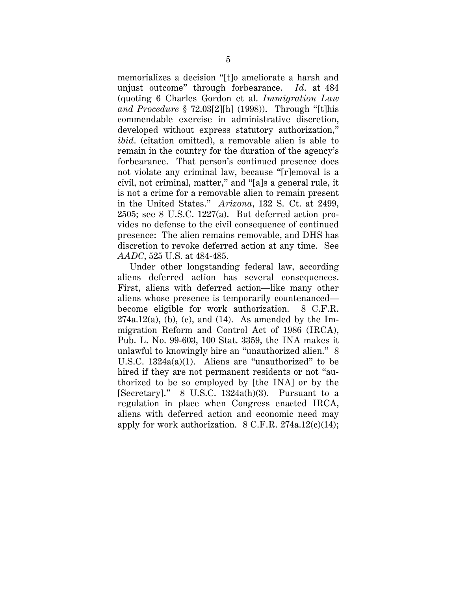memorializes a decision "[t]o ameliorate a harsh and unjust outcome" through forbearance. *Id*. at 484 (quoting 6 Charles Gordon et al. *Immigration Law and Procedure* § 72.03[2][h] (1998)). Through "[t]his commendable exercise in administrative discretion, developed without express statutory authorization," *ibid*. (citation omitted), a removable alien is able to remain in the country for the duration of the agency's forbearance. That person's continued presence does not violate any criminal law, because "[r]emoval is a civil, not criminal, matter," and "[a]s a general rule, it is not a crime for a removable alien to remain present in the United States." *Arizona*, 132 S. Ct. at 2499, 2505; see 8 U.S.C. 1227(a). But deferred action provides no defense to the civil consequence of continued presence: The alien remains removable, and DHS has discretion to revoke deferred action at any time. See *AADC*, 525 U.S. at 484-485.

Under other longstanding federal law, according aliens deferred action has several consequences. First, aliens with deferred action—like many other aliens whose presence is temporarily countenanced become eligible for work authorization. 8 C.F.R.  $274a.12(a)$ , (b), (c), and (14). As amended by the Immigration Reform and Control Act of 1986 (IRCA), Pub. L. No. 99-603, 100 Stat. 3359, the INA makes it unlawful to knowingly hire an "unauthorized alien." 8 U.S.C. 1324a(a)(1). Aliens are "unauthorized" to be hired if they are not permanent residents or not "authorized to be so employed by [the INA] or by the [Secretary]." 8 U.S.C. 1324a(h)(3). Pursuant to a regulation in place when Congress enacted IRCA, aliens with deferred action and economic need may apply for work authorization.  $8 \text{ C.F.R. } 274a.12(c)(14);$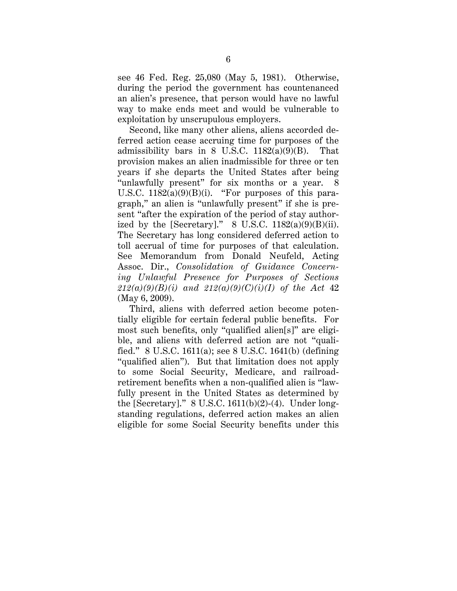see 46 Fed. Reg. 25,080 (May 5, 1981). Otherwise, during the period the government has countenanced an alien's presence, that person would have no lawful way to make ends meet and would be vulnerable to exploitation by unscrupulous employers.

Second, like many other aliens, aliens accorded deferred action cease accruing time for purposes of the admissibility bars in 8 U.S.C.  $1182(a)(9)(B)$ . That provision makes an alien inadmissible for three or ten years if she departs the United States after being "unlawfully present" for six months or a year. U.S.C.  $1182(a)(9)(B)(i)$ . "For purposes of this paragraph," an alien is "unlawfully present" if she is present "after the expiration of the period of stay authorized by the [Secretary]." 8 U.S.C.  $1182(a)(9)(B)(ii)$ . The Secretary has long considered deferred action to toll accrual of time for purposes of that calculation. See Memorandum from Donald Neufeld, Acting Assoc. Dir., *Consolidation of Guidance Concerning Unlawful Presence for Purposes of Sections 212(a)(9)(B)(i) and 212(a)(9)(C)(i)(I) of the Act* 42 (May 6, 2009).

Third, aliens with deferred action become potentially eligible for certain federal public benefits. For most such benefits, only "qualified alien[s]" are eligible, and aliens with deferred action are not "qualified." 8 U.S.C. 1611(a); see 8 U.S.C. 1641(b) (defining "qualified alien"). But that limitation does not apply to some Social Security, Medicare, and railroadretirement benefits when a non-qualified alien is "lawfully present in the United States as determined by the [Secretary]."  $8$  U.S.C. 1611(b)(2)-(4). Under longstanding regulations, deferred action makes an alien eligible for some Social Security benefits under this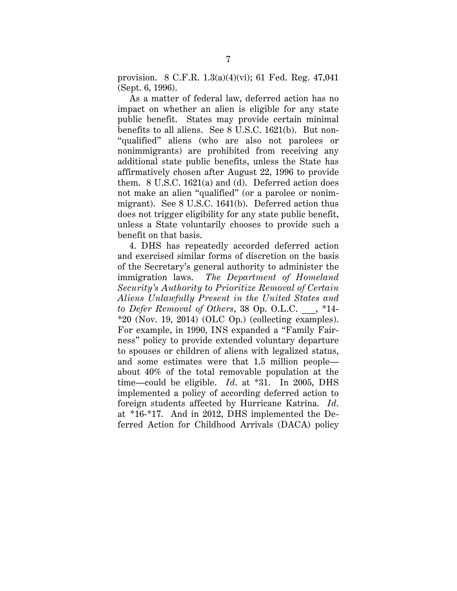provision. 8 C.F.R. 1.3(a)(4)(vi); 61 Fed. Reg. 47,041 (Sept. 6, 1996).

As a matter of federal law, deferred action has no impact on whether an alien is eligible for any state public benefit. States may provide certain minimal benefits to all aliens. See 8 U.S.C. 1621(b). But non- "qualified" aliens (who are also not parolees or nonimmigrants) are prohibited from receiving any additional state public benefits, unless the State has affirmatively chosen after August 22, 1996 to provide them. 8 U.S.C. 1621(a) and (d). Deferred action does not make an alien "qualified" (or a parolee or nonimmigrant). See 8 U.S.C. 1641(b). Deferred action thus does not trigger eligibility for any state public benefit, unless a State voluntarily chooses to provide such a benefit on that basis.

4. DHS has repeatedly accorded deferred action and exercised similar forms of discretion on the basis of the Secretary's general authority to administer the immigration laws. *The Department of Homeland Security's Authority to Prioritize Removal of Certain Aliens Unlawfully Present in the United States and to Defer Removal of Others*, 38 Op. O.L.C. \_\_\_, \*14-  $*20$  (Nov. 19, 2014) (OLC Op.) (collecting examples). For example, in 1990, INS expanded a "Family Fairness" policy to provide extended voluntary departure to spouses or children of aliens with legalized status, and some estimates were that 1.5 million people about 40% of the total removable population at the time—could be eligible. *Id*. at \*31. In 2005, DHS implemented a policy of according deferred action to foreign students affected by Hurricane Katrina. *Id*. at \*16-\*17. And in 2012, DHS implemented the Deferred Action for Childhood Arrivals (DACA) policy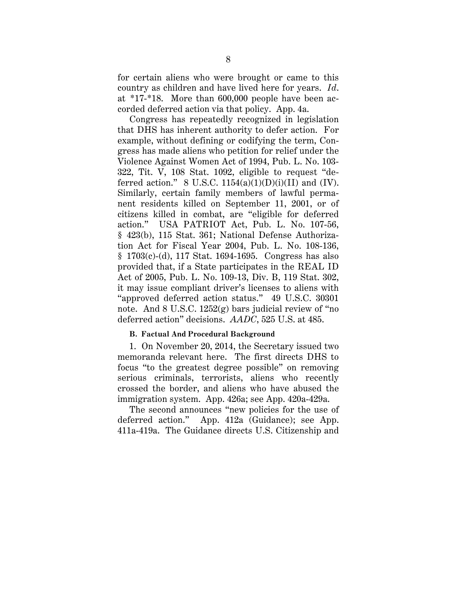for certain aliens who were brought or came to this country as children and have lived here for years. *Id*. at \*17-\*18. More than 600,000 people have been accorded deferred action via that policy. App. 4a.

Congress has repeatedly recognized in legislation that DHS has inherent authority to defer action. For example, without defining or codifying the term, Congress has made aliens who petition for relief under the Violence Against Women Act of 1994, Pub. L. No. 103- 322, Tit. V, 108 Stat. 1092, eligible to request "deferred action."  $8 \text{ U.S.C. } 1154(a)(1)(D)(i)(II)$  and (IV). Similarly, certain family members of lawful permanent residents killed on September 11, 2001, or of citizens killed in combat, are "eligible for deferred action." USA PATRIOT Act, Pub. L. No. 107-56, § 423(b), 115 Stat. 361; National Defense Authorization Act for Fiscal Year 2004, Pub. L. No. 108-136, § 1703(c)-(d), 117 Stat. 1694-1695. Congress has also provided that, if a State participates in the REAL ID Act of 2005, Pub. L. No. 109-13, Div. B, 119 Stat. 302, it may issue compliant driver's licenses to aliens with "approved deferred action status." 49 U.S.C. 30301 note. And 8 U.S.C. 1252(g) bars judicial review of "no deferred action" decisions. *AADC*, 525 U.S. at 485.

## **B. Factual And Procedural Background**

1. On November 20, 2014, the Secretary issued two memoranda relevant here. The first directs DHS to focus "to the greatest degree possible" on removing serious criminals, terrorists, aliens who recently crossed the border, and aliens who have abused the immigration system. App. 426a; see App. 420a-429a.

The second announces "new policies for the use of deferred action." App. 412a (Guidance); see App. 411a-419a. The Guidance directs U.S. Citizenship and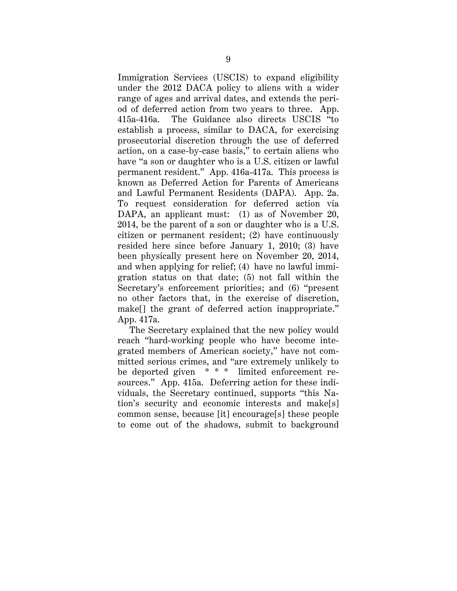Immigration Services (USCIS) to expand eligibility under the 2012 DACA policy to aliens with a wider range of ages and arrival dates, and extends the period of deferred action from two years to three. App. 415a-416a. The Guidance also directs USCIS "to establish a process, similar to DACA, for exercising prosecutorial discretion through the use of deferred action, on a case-by-case basis," to certain aliens who have "a son or daughter who is a U.S. citizen or lawful permanent resident." App. 416a-417a. This process is known as Deferred Action for Parents of Americans and Lawful Permanent Residents (DAPA). App. 2a. To request consideration for deferred action via DAPA, an applicant must: (1) as of November 20, 2014, be the parent of a son or daughter who is a U.S. citizen or permanent resident; (2) have continuously resided here since before January 1, 2010; (3) have been physically present here on November 20, 2014, and when applying for relief; (4) have no lawful immigration status on that date; (5) not fall within the Secretary's enforcement priorities; and (6) "present no other factors that, in the exercise of discretion, make[] the grant of deferred action inappropriate." App. 417a.

The Secretary explained that the new policy would reach "hard-working people who have become integrated members of American society," have not committed serious crimes, and "are extremely unlikely to be deported given \* \* \* limited enforcement resources." App. 415a. Deferring action for these individuals, the Secretary continued, supports "this Nation's security and economic interests and make[s] common sense, because [it] encourage[s] these people to come out of the shadows, submit to background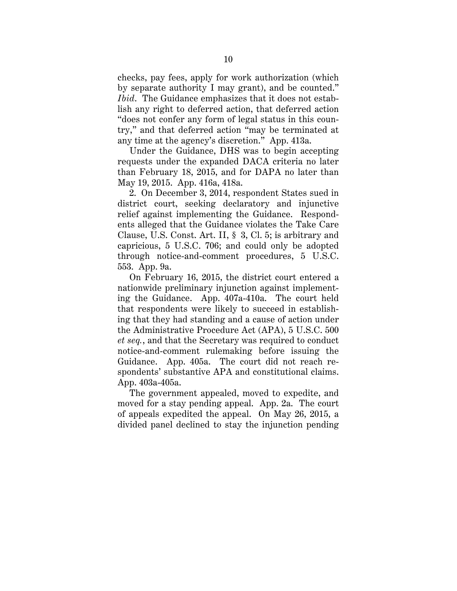checks, pay fees, apply for work authorization (which by separate authority I may grant), and be counted." *Ibid*. The Guidance emphasizes that it does not establish any right to deferred action, that deferred action "does not confer any form of legal status in this country," and that deferred action "may be terminated at any time at the agency's discretion." App. 413a.

Under the Guidance, DHS was to begin accepting requests under the expanded DACA criteria no later than February 18, 2015, and for DAPA no later than May 19, 2015. App. 416a, 418a.

2. On December 3, 2014, respondent States sued in district court, seeking declaratory and injunctive relief against implementing the Guidance. Respondents alleged that the Guidance violates the Take Care Clause, U.S. Const. Art. II, § 3, Cl. 5; is arbitrary and capricious, 5 U.S.C. 706; and could only be adopted through notice-and-comment procedures, 5 U.S.C. 553. App. 9a.

On February 16, 2015, the district court entered a nationwide preliminary injunction against implementing the Guidance. App. 407a-410a. The court held that respondents were likely to succeed in establishing that they had standing and a cause of action under the Administrative Procedure Act (APA), 5 U.S.C. 500 *et seq.*, and that the Secretary was required to conduct notice-and-comment rulemaking before issuing the Guidance. App. 405a. The court did not reach respondents' substantive APA and constitutional claims. App. 403a-405a.

The government appealed, moved to expedite, and moved for a stay pending appeal. App. 2a. The court of appeals expedited the appeal. On May 26, 2015, a divided panel declined to stay the injunction pending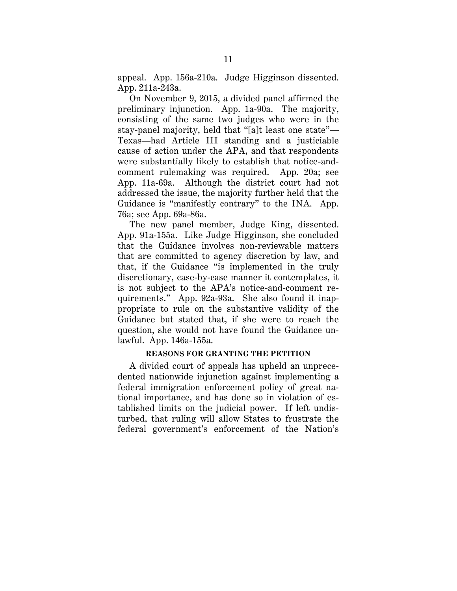appeal. App. 156a-210a. Judge Higginson dissented. App. 211a-243a.

On November 9, 2015, a divided panel affirmed the preliminary injunction. App. 1a-90a. The majority, consisting of the same two judges who were in the stay-panel majority, held that "[a]t least one state"— Texas—had Article III standing and a justiciable cause of action under the APA, and that respondents were substantially likely to establish that notice-andcomment rulemaking was required. App. 20a; see App. 11a-69a. Although the district court had not addressed the issue, the majority further held that the Guidance is "manifestly contrary" to the INA. App. 76a; see App. 69a-86a.

The new panel member, Judge King, dissented. App. 91a-155a. Like Judge Higginson, she concluded that the Guidance involves non-reviewable matters that are committed to agency discretion by law, and that, if the Guidance "is implemented in the truly discretionary, case-by-case manner it contemplates, it is not subject to the APA's notice-and-comment requirements." App. 92a-93a. She also found it inappropriate to rule on the substantive validity of the Guidance but stated that, if she were to reach the question, she would not have found the Guidance unlawful. App. 146a-155a.

## **REASONS FOR GRANTING THE PETITION**

A divided court of appeals has upheld an unprecedented nationwide injunction against implementing a federal immigration enforcement policy of great national importance, and has done so in violation of established limits on the judicial power. If left undisturbed, that ruling will allow States to frustrate the federal government's enforcement of the Nation's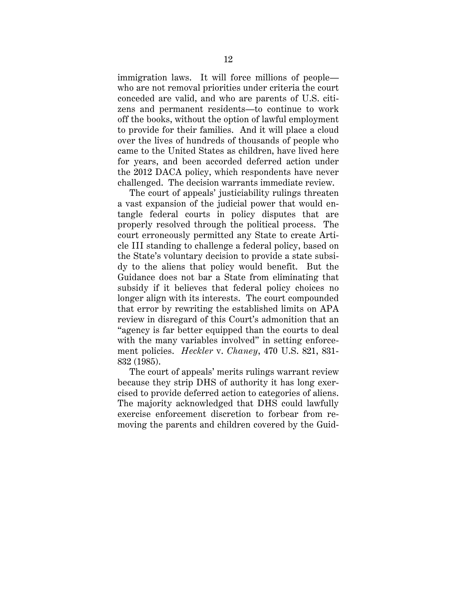immigration laws. It will force millions of people who are not removal priorities under criteria the court conceded are valid, and who are parents of U.S. citizens and permanent residents—to continue to work off the books, without the option of lawful employment to provide for their families. And it will place a cloud over the lives of hundreds of thousands of people who came to the United States as children, have lived here for years, and been accorded deferred action under the 2012 DACA policy, which respondents have never challenged. The decision warrants immediate review.

The court of appeals' justiciability rulings threaten a vast expansion of the judicial power that would entangle federal courts in policy disputes that are properly resolved through the political process. The court erroneously permitted any State to create Article III standing to challenge a federal policy, based on the State's voluntary decision to provide a state subsidy to the aliens that policy would benefit. But the Guidance does not bar a State from eliminating that subsidy if it believes that federal policy choices no longer align with its interests. The court compounded that error by rewriting the established limits on APA review in disregard of this Court's admonition that an "agency is far better equipped than the courts to deal with the many variables involved" in setting enforcement policies. *Heckler* v. *Chaney*, 470 U.S. 821, 831- 832 (1985).

The court of appeals' merits rulings warrant review because they strip DHS of authority it has long exercised to provide deferred action to categories of aliens. The majority acknowledged that DHS could lawfully exercise enforcement discretion to forbear from removing the parents and children covered by the Guid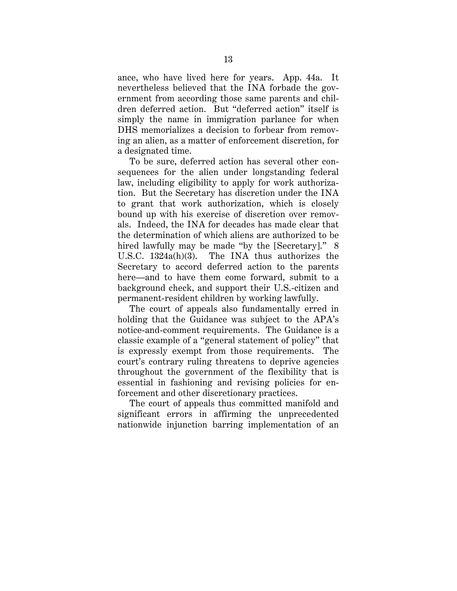ance, who have lived here for years. App. 44a. It nevertheless believed that the INA forbade the government from according those same parents and children deferred action. But "deferred action" itself is simply the name in immigration parlance for when DHS memorializes a decision to forbear from removing an alien, as a matter of enforcement discretion, for a designated time.

To be sure, deferred action has several other consequences for the alien under longstanding federal law, including eligibility to apply for work authorization. But the Secretary has discretion under the INA to grant that work authorization, which is closely bound up with his exercise of discretion over removals. Indeed, the INA for decades has made clear that the determination of which aliens are authorized to be hired lawfully may be made "by the [Secretary]." 8 U.S.C. 1324a(h)(3). The INA thus authorizes the Secretary to accord deferred action to the parents here—and to have them come forward, submit to a background check, and support their U.S.-citizen and permanent-resident children by working lawfully.

The court of appeals also fundamentally erred in holding that the Guidance was subject to the APA's notice-and-comment requirements. The Guidance is a classic example of a "general statement of policy" that is expressly exempt from those requirements. The court's contrary ruling threatens to deprive agencies throughout the government of the flexibility that is essential in fashioning and revising policies for enforcement and other discretionary practices.

The court of appeals thus committed manifold and significant errors in affirming the unprecedented nationwide injunction barring implementation of an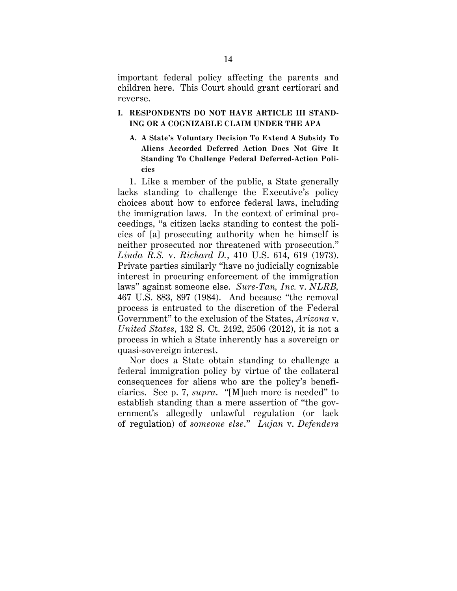important federal policy affecting the parents and children here. This Court should grant certiorari and reverse.

## **I. RESPONDENTS DO NOT HAVE ARTICLE III STAND-ING OR A COGNIZABLE CLAIM UNDER THE APA**

**A. A State's Voluntary Decision To Extend A Subsidy To Aliens Accorded Deferred Action Does Not Give It Standing To Challenge Federal Deferred-Action Policies**

1. Like a member of the public, a State generally lacks standing to challenge the Executive's policy choices about how to enforce federal laws, including the immigration laws. In the context of criminal proceedings, "a citizen lacks standing to contest the policies of [a] prosecuting authority when he himself is neither prosecuted nor threatened with prosecution." *Linda R.S.* v. *Richard D.*, 410 U.S. 614, 619 (1973). Private parties similarly "have no judicially cognizable interest in procuring enforcement of the immigration laws" against someone else. *Sure-Tan, Inc.* v. *NLRB,*  467 U.S. 883, 897 (1984). And because "the removal process is entrusted to the discretion of the Federal Government" to the exclusion of the States, *Arizona* v. *United States*, 132 S. Ct. 2492, 2506 (2012), it is not a process in which a State inherently has a sovereign or quasi-sovereign interest.

Nor does a State obtain standing to challenge a federal immigration policy by virtue of the collateral consequences for aliens who are the policy's beneficiaries. See p. 7, *supra*. "[M]uch more is needed" to establish standing than a mere assertion of "the government's allegedly unlawful regulation (or lack of regulation) of *someone else*." *Lujan* v. *Defenders*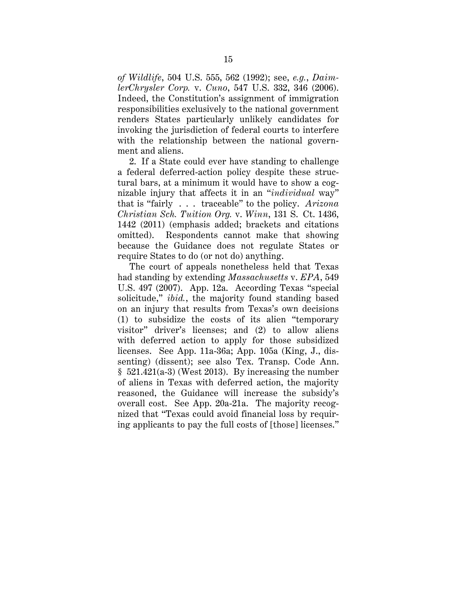*of Wildlife*, 504 U.S. 555, 562 (1992); see, *e.g.*, *DaimlerChrysler Corp.* v. *Cuno*, 547 U.S. 332, 346 (2006). Indeed, the Constitution's assignment of immigration responsibilities exclusively to the national government renders States particularly unlikely candidates for invoking the jurisdiction of federal courts to interfere with the relationship between the national government and aliens.

2. If a State could ever have standing to challenge a federal deferred-action policy despite these structural bars, at a minimum it would have to show a cognizable injury that affects it in an "*individual* way" that is "fairly . . . traceable" to the policy. *Arizona Christian Sch. Tuition Org.* v. *Winn*, 131 S. Ct. 1436, 1442 (2011) (emphasis added; brackets and citations omitted). Respondents cannot make that showing because the Guidance does not regulate States or require States to do (or not do) anything.

The court of appeals nonetheless held that Texas had standing by extending *Massachusetts* v. *EPA*, 549 U.S. 497 (2007). App. 12a. According Texas "special solicitude," *ibid.*, the majority found standing based on an injury that results from Texas's own decisions (1) to subsidize the costs of its alien "temporary visitor" driver's licenses; and (2) to allow aliens with deferred action to apply for those subsidized licenses. See App. 11a-36a; App. 105a (King, J., dissenting) (dissent); see also Tex. Transp. Code Ann.  $§ 521.421(a-3)$  (West 2013). By increasing the number of aliens in Texas with deferred action, the majority reasoned, the Guidance will increase the subsidy's overall cost. See App. 20a-21a. The majority recognized that "Texas could avoid financial loss by requiring applicants to pay the full costs of [those] licenses."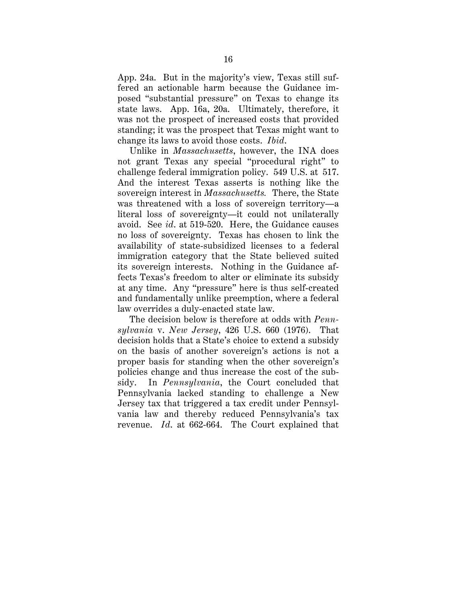App. 24a. But in the majority's view, Texas still suffered an actionable harm because the Guidance imposed "substantial pressure" on Texas to change its state laws. App. 16a, 20a. Ultimately, therefore, it was not the prospect of increased costs that provided standing; it was the prospect that Texas might want to change its laws to avoid those costs. *Ibid*.

Unlike in *Massachusetts*, however, the INA does not grant Texas any special "procedural right" to challenge federal immigration policy. 549 U.S. at 517. And the interest Texas asserts is nothing like the sovereign interest in *Massachusetts.* There, the State was threatened with a loss of sovereign territory—a literal loss of sovereignty—it could not unilaterally avoid. See *id*. at 519-520. Here, the Guidance causes no loss of sovereignty. Texas has chosen to link the availability of state-subsidized licenses to a federal immigration category that the State believed suited its sovereign interests. Nothing in the Guidance affects Texas's freedom to alter or eliminate its subsidy at any time. Any "pressure" here is thus self-created and fundamentally unlike preemption, where a federal law overrides a duly-enacted state law.

The decision below is therefore at odds with *Pennsylvania* v. *New Jersey*, 426 U.S. 660 (1976). That decision holds that a State's choice to extend a subsidy on the basis of another sovereign's actions is not a proper basis for standing when the other sovereign's policies change and thus increase the cost of the subsidy. In *Pennsylvania*, the Court concluded that Pennsylvania lacked standing to challenge a New Jersey tax that triggered a tax credit under Pennsylvania law and thereby reduced Pennsylvania's tax revenue. *Id*. at 662-664. The Court explained that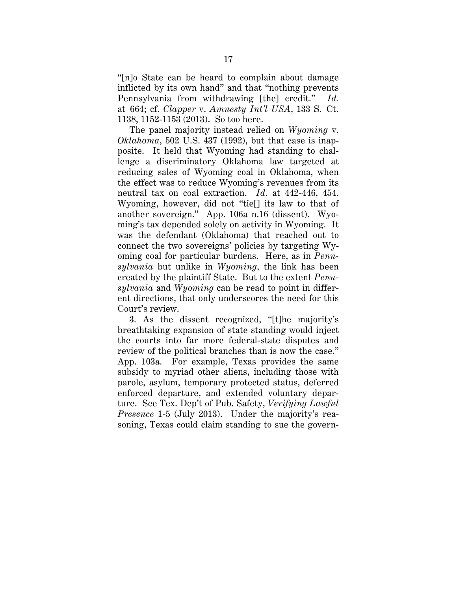"[n]o State can be heard to complain about damage inflicted by its own hand" and that "nothing prevents Pennsylvania from withdrawing [the] credit." *Id.* at 664; cf. *Clapper* v. *Amnesty Int'l USA*, 133 S. Ct. 1138, 1152-1153 (2013). So too here.

The panel majority instead relied on *Wyoming* v. *Oklahoma*, 502 U.S. 437 (1992), but that case is inapposite. It held that Wyoming had standing to challenge a discriminatory Oklahoma law targeted at reducing sales of Wyoming coal in Oklahoma, when the effect was to reduce Wyoming's revenues from its neutral tax on coal extraction. *Id*. at 442-446, 454. Wyoming, however, did not "tie[] its law to that of another sovereign." App. 106a n.16 (dissent). Wyoming's tax depended solely on activity in Wyoming. It was the defendant (Oklahoma) that reached out to connect the two sovereigns' policies by targeting Wyoming coal for particular burdens. Here, as in *Pennsylvania* but unlike in *Wyoming*, the link has been created by the plaintiff State. But to the extent *Pennsylvania* and *Wyoming* can be read to point in different directions, that only underscores the need for this Court's review.

3. As the dissent recognized, "[t]he majority's breathtaking expansion of state standing would inject the courts into far more federal-state disputes and review of the political branches than is now the case." App. 103a. For example, Texas provides the same subsidy to myriad other aliens, including those with parole, asylum, temporary protected status, deferred enforced departure, and extended voluntary departure. See Tex. Dep't of Pub. Safety, *Verifying Lawful Presence* 1-5 (July 2013). Under the majority's reasoning, Texas could claim standing to sue the govern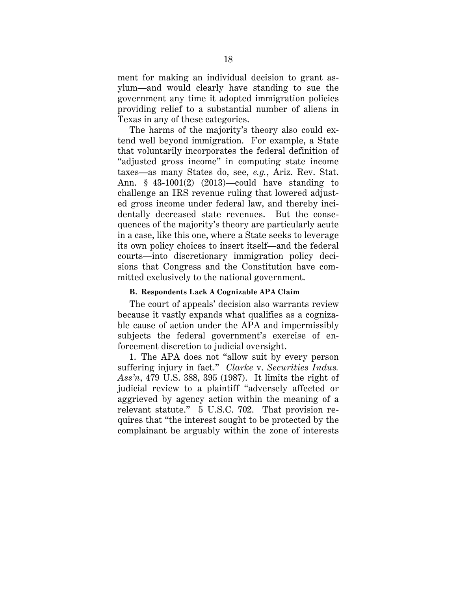ment for making an individual decision to grant asylum—and would clearly have standing to sue the government any time it adopted immigration policies providing relief to a substantial number of aliens in Texas in any of these categories.

The harms of the majority's theory also could extend well beyond immigration. For example, a State that voluntarily incorporates the federal definition of "adjusted gross income" in computing state income taxes—as many States do, see, *e.g.*, Ariz. Rev. Stat. Ann. § 43-1001(2) (2013)—could have standing to challenge an IRS revenue ruling that lowered adjusted gross income under federal law, and thereby incidentally decreased state revenues. But the consequences of the majority's theory are particularly acute in a case, like this one, where a State seeks to leverage its own policy choices to insert itself—and the federal courts—into discretionary immigration policy decisions that Congress and the Constitution have committed exclusively to the national government.

## **B. Respondents Lack A Cognizable APA Claim**

The court of appeals' decision also warrants review because it vastly expands what qualifies as a cognizable cause of action under the APA and impermissibly subjects the federal government's exercise of enforcement discretion to judicial oversight.

1. The APA does not "allow suit by every person suffering injury in fact." *Clarke* v. *Securities Indus. Ass'n*, 479 U.S. 388, 395 (1987). It limits the right of judicial review to a plaintiff "adversely affected or aggrieved by agency action within the meaning of a relevant statute." 5 U.S.C. 702. That provision requires that "the interest sought to be protected by the complainant be arguably within the zone of interests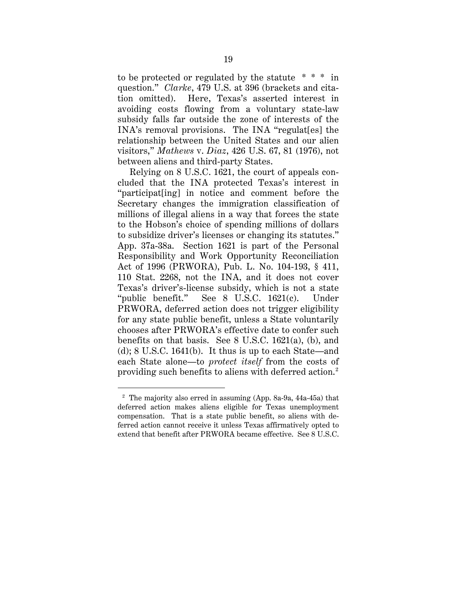to be protected or regulated by the statute \* \* \* in question." *Clarke*, 479 U.S. at 396 (brackets and citation omitted). Here, Texas's asserted interest in avoiding costs flowing from a voluntary state-law subsidy falls far outside the zone of interests of the INA's removal provisions. The INA "regulat[es] the relationship between the United States and our alien visitors," *Mathews* v. *Diaz*, 426 U.S. 67, 81 (1976), not between aliens and third-party States.

Relying on 8 U.S.C. 1621, the court of appeals concluded that the INA protected Texas's interest in "participat[ing] in notice and comment before the Secretary changes the immigration classification of millions of illegal aliens in a way that forces the state to the Hobson's choice of spending millions of dollars to subsidize driver's licenses or changing its statutes." App. 37a-38a. Section 1621 is part of the Personal Responsibility and Work Opportunity Reconciliation Act of 1996 (PRWORA), Pub. L. No. 104-193, § 411, 110 Stat. 2268, not the INA, and it does not cover Texas's driver's-license subsidy, which is not a state "public benefit." See 8 U.S.C. 1621(c). Under PRWORA, deferred action does not trigger eligibility for any state public benefit, unless a State voluntarily chooses after PRWORA's effective date to confer such benefits on that basis. See 8 U.S.C. 1621(a), (b), and (d); 8 U.S.C. 1641(b). It thus is up to each State—and each State alone—to *protect itself* from the costs of providing such benefits to aliens with deferred action. 2

 <sup>2</sup> The majority also erred in assuming (App. 8a-9a, 44a-45a) that deferred action makes aliens eligible for Texas unemployment compensation. That is a state public benefit, so aliens with deferred action cannot receive it unless Texas affirmatively opted to extend that benefit after PRWORA became effective. See 8 U.S.C.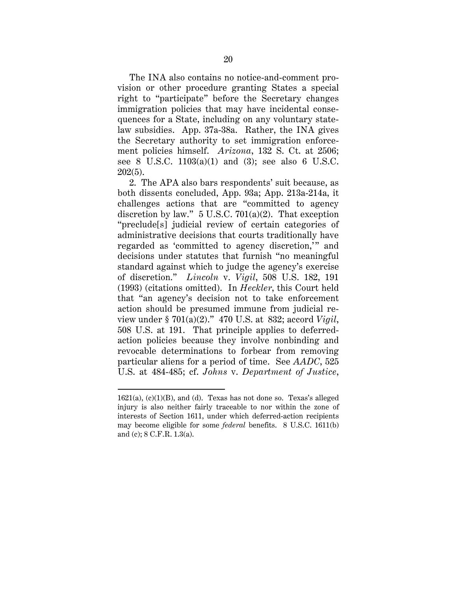The INA also contains no notice-and-comment provision or other procedure granting States a special right to "participate" before the Secretary changes immigration policies that may have incidental consequences for a State, including on any voluntary statelaw subsidies. App. 37a-38a. Rather, the INA gives the Secretary authority to set immigration enforcement policies himself. *Arizona*, 132 S. Ct. at 2506; see 8 U.S.C. 1103(a)(1) and (3); see also 6 U.S.C. 202(5).

2. The APA also bars respondents' suit because, as both dissents concluded, App. 93a; App. 213a-214a, it challenges actions that are "committed to agency discretion by law."  $5 \text{ U.S.C. } 701(a)(2)$ . That exception "preclude[s] judicial review of certain categories of administrative decisions that courts traditionally have regarded as 'committed to agency discretion,'" and decisions under statutes that furnish "no meaningful standard against which to judge the agency's exercise of discretion." *Lincoln* v. *Vigil*, 508 U.S. 182, 191 (1993) (citations omitted). In *Heckler*, this Court held that "an agency's decision not to take enforcement action should be presumed immune from judicial review under § 701(a)(2)." 470 U.S. at 832; accord *Vigil*, 508 U.S. at 191. That principle applies to deferredaction policies because they involve nonbinding and revocable determinations to forbear from removing particular aliens for a period of time. See *AADC*, 525 U.S. at 484-485; cf. *Johns* v. *Department of Justice*,

 $\overline{a}$ 

<sup>1621(</sup>a), (c)(1)(B), and (d). Texas has not done so. Texas's alleged injury is also neither fairly traceable to nor within the zone of interests of Section 1611, under which deferred-action recipients may become eligible for some *federal* benefits. 8 U.S.C. 1611(b) and (c); 8 C.F.R. 1.3(a).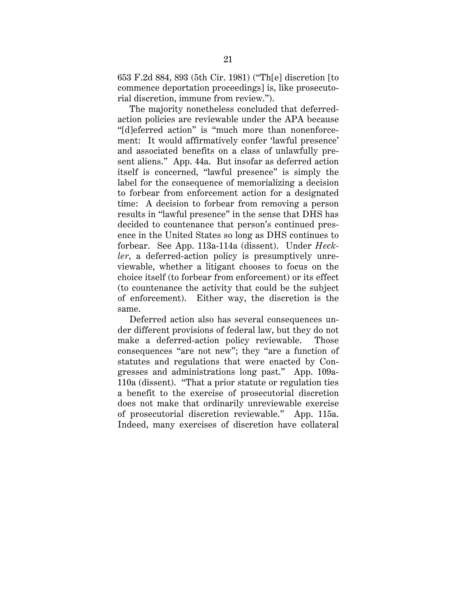653 F.2d 884, 893 (5th Cir. 1981) ("Th[e] discretion [to commence deportation proceedings] is, like prosecutorial discretion, immune from review.").

The majority nonetheless concluded that deferredaction policies are reviewable under the APA because "[d]eferred action" is "much more than nonenforcement: It would affirmatively confer 'lawful presence' and associated benefits on a class of unlawfully present aliens." App. 44a. But insofar as deferred action itself is concerned, "lawful presence" is simply the label for the consequence of memorializing a decision to forbear from enforcement action for a designated time: A decision to forbear from removing a person results in "lawful presence" in the sense that DHS has decided to countenance that person's continued presence in the United States so long as DHS continues to forbear. See App. 113a-114a (dissent). Under *Heckler*, a deferred-action policy is presumptively unreviewable, whether a litigant chooses to focus on the choice itself (to forbear from enforcement) or its effect (to countenance the activity that could be the subject of enforcement). Either way, the discretion is the same.

Deferred action also has several consequences under different provisions of federal law, but they do not make a deferred-action policy reviewable. Those consequences "are not new"; they "are a function of statutes and regulations that were enacted by Congresses and administrations long past." App. 109a-110a (dissent). "That a prior statute or regulation ties a benefit to the exercise of prosecutorial discretion does not make that ordinarily unreviewable exercise of prosecutorial discretion reviewable." App. 115a. Indeed, many exercises of discretion have collateral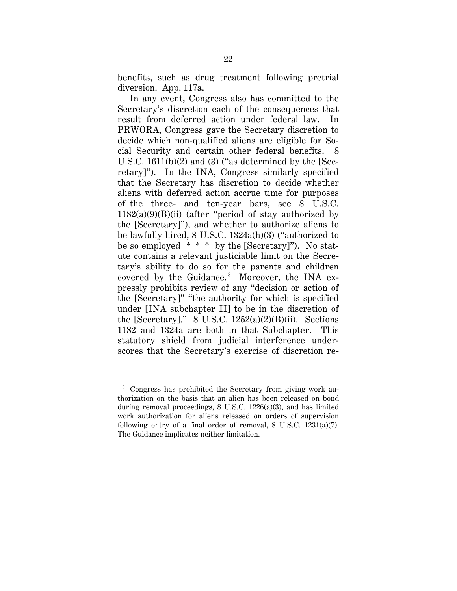benefits, such as drug treatment following pretrial diversion. App. 117a.

In any event, Congress also has committed to the Secretary's discretion each of the consequences that result from deferred action under federal law. In PRWORA, Congress gave the Secretary discretion to decide which non-qualified aliens are eligible for Social Security and certain other federal benefits. 8 U.S.C. 1611(b)(2) and (3) ("as determined by the [Secretary]"). In the INA, Congress similarly specified that the Secretary has discretion to decide whether aliens with deferred action accrue time for purposes of the three- and ten-year bars, see 8 U.S.C.  $1182(a)(9)(B)(ii)$  (after "period of stay authorized by the [Secretary]"), and whether to authorize aliens to be lawfully hired, 8 U.S.C. 1324a(h)(3) ("authorized to be so employed  $* * *$  by the [Secretary]"). No statute contains a relevant justiciable limit on the Secretary's ability to do so for the parents and children covered by the Guidance.<sup>3</sup> Moreover, the INA expressly prohibits review of any "decision or action of the [Secretary]" "the authority for which is specified under [INA subchapter II] to be in the discretion of the [Secretary]."  $8$  U.S.C. 1252(a)(2)(B)(ii). Sections 1182 and 1324a are both in that Subchapter. This statutory shield from judicial interference underscores that the Secretary's exercise of discretion re-

 <sup>3</sup> Congress has prohibited the Secretary from giving work authorization on the basis that an alien has been released on bond during removal proceedings, 8 U.S.C. 1226(a)(3), and has limited work authorization for aliens released on orders of supervision following entry of a final order of removal,  $8 \text{ U.S.C. } 1231(a)(7)$ . The Guidance implicates neither limitation.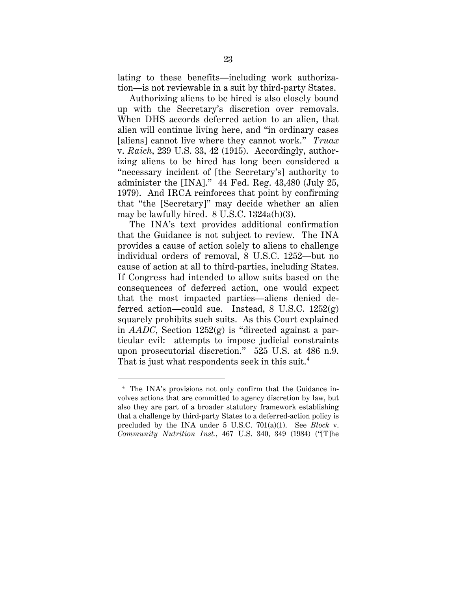lating to these benefits—including work authorization—is not reviewable in a suit by third-party States.

Authorizing aliens to be hired is also closely bound up with the Secretary's discretion over removals. When DHS accords deferred action to an alien, that alien will continue living here, and "in ordinary cases [aliens] cannot live where they cannot work." *Truax* v. *Raich*, 239 U.S. 33, 42 (1915). Accordingly, authorizing aliens to be hired has long been considered a "necessary incident of [the Secretary's] authority to administer the [INA]." 44 Fed. Reg. 43,480 (July 25, 1979). And IRCA reinforces that point by confirming that "the [Secretary]" may decide whether an alien may be lawfully hired. 8 U.S.C. 1324a(h)(3).

The INA's text provides additional confirmation that the Guidance is not subject to review. The INA provides a cause of action solely to aliens to challenge individual orders of removal, 8 U.S.C. 1252—but no cause of action at all to third-parties, including States. If Congress had intended to allow suits based on the consequences of deferred action, one would expect that the most impacted parties—aliens denied deferred action—could sue. Instead,  $8 \text{ U.S.C. } 1252(g)$ squarely prohibits such suits. As this Court explained in *AADC*, Section 1252(g) is "directed against a particular evil: attempts to impose judicial constraints upon prosecutorial discretion." 525 U.S. at 486 n.9. That is just what respondents seek in this suit.<sup>4</sup>

 <sup>4</sup> The INA's provisions not only confirm that the Guidance involves actions that are committed to agency discretion by law, but also they are part of a broader statutory framework establishing that a challenge by third-party States to a deferred-action policy is precluded by the INA under 5 U.S.C. 701(a)(1). See *Block* v. *Community Nutrition Inst.*, 467 U.S. 340, 349 (1984) ("[T]he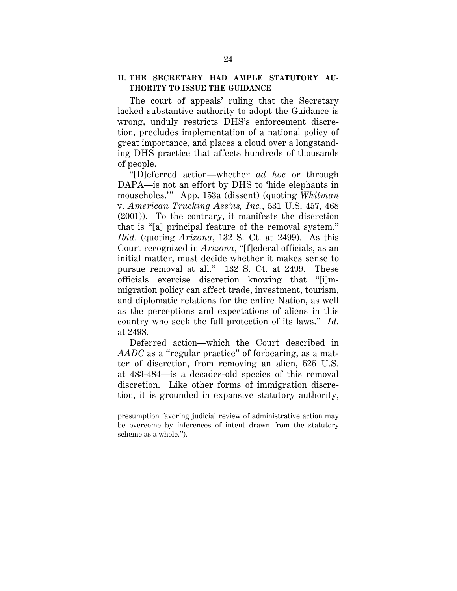## **II. THE SECRETARY HAD AMPLE STATUTORY AU-THORITY TO ISSUE THE GUIDANCE**

The court of appeals' ruling that the Secretary lacked substantive authority to adopt the Guidance is wrong, unduly restricts DHS's enforcement discretion, precludes implementation of a national policy of great importance, and places a cloud over a longstanding DHS practice that affects hundreds of thousands of people.

"[D]eferred action—whether *ad hoc* or through DAPA—is not an effort by DHS to 'hide elephants in mouseholes.'" App. 153a (dissent) (quoting *Whitman* v. *American Trucking Ass'ns, Inc.*, 531 U.S. 457, 468 (2001)). To the contrary, it manifests the discretion that is "[a] principal feature of the removal system." *Ibid*. (quoting *Arizona*, 132 S. Ct. at 2499). As this Court recognized in *Arizona*, "[f]ederal officials, as an initial matter, must decide whether it makes sense to pursue removal at all." 132 S. Ct. at 2499. These officials exercise discretion knowing that "[i]mmigration policy can affect trade, investment, tourism, and diplomatic relations for the entire Nation, as well as the perceptions and expectations of aliens in this country who seek the full protection of its laws." *Id*. at 2498.

Deferred action—which the Court described in *AADC* as a "regular practice" of forbearing, as a matter of discretion, from removing an alien, 525 U.S. at 483-484—is a decades-old species of this removal discretion. Like other forms of immigration discretion, it is grounded in expansive statutory authority,

 $\ddot{\phantom{a}}$ 

presumption favoring judicial review of administrative action may be overcome by inferences of intent drawn from the statutory scheme as a whole.").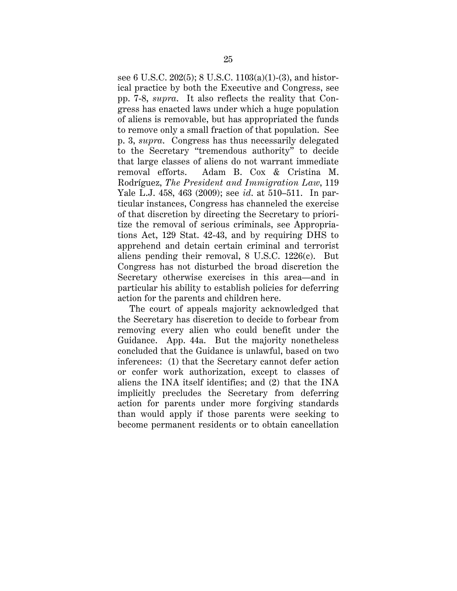see 6 U.S.C. 202(5); 8 U.S.C. 1103(a)(1)-(3), and historical practice by both the Executive and Congress, see pp. 7-8, *supra*. It also reflects the reality that Congress has enacted laws under which a huge population of aliens is removable, but has appropriated the funds to remove only a small fraction of that population. See p. 3, *supra*. Congress has thus necessarily delegated to the Secretary "tremendous authority" to decide that large classes of aliens do not warrant immediate removal efforts. Adam B. Cox & Cristina M. Rodríguez, *The President and Immigration Law*, 119 Yale L.J. 458, 463 (2009); see *id*. at 510–511. In particular instances, Congress has channeled the exercise of that discretion by directing the Secretary to prioritize the removal of serious criminals, see Appropriations Act, 129 Stat. 42-43, and by requiring DHS to apprehend and detain certain criminal and terrorist aliens pending their removal, 8 U.S.C. 1226(c). But Congress has not disturbed the broad discretion the Secretary otherwise exercises in this area—and in particular his ability to establish policies for deferring action for the parents and children here.

The court of appeals majority acknowledged that the Secretary has discretion to decide to forbear from removing every alien who could benefit under the Guidance. App. 44a. But the majority nonetheless concluded that the Guidance is unlawful, based on two inferences: (1) that the Secretary cannot defer action or confer work authorization, except to classes of aliens the INA itself identifies; and (2) that the INA implicitly precludes the Secretary from deferring action for parents under more forgiving standards than would apply if those parents were seeking to become permanent residents or to obtain cancellation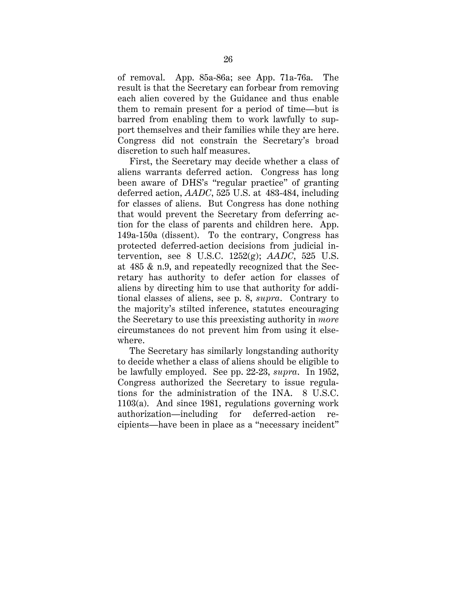of removal. App. 85a-86a; see App. 71a-76a. The result is that the Secretary can forbear from removing each alien covered by the Guidance and thus enable them to remain present for a period of time—but is barred from enabling them to work lawfully to support themselves and their families while they are here. Congress did not constrain the Secretary's broad discretion to such half measures.

First, the Secretary may decide whether a class of aliens warrants deferred action. Congress has long been aware of DHS's "regular practice" of granting deferred action, *AADC*, 525 U.S. at 483-484, including for classes of aliens. But Congress has done nothing that would prevent the Secretary from deferring action for the class of parents and children here. App. 149a-150a (dissent). To the contrary, Congress has protected deferred-action decisions from judicial intervention, see 8 U.S.C. 1252(g); *AADC*, 525 U.S. at 485 & n.9, and repeatedly recognized that the Secretary has authority to defer action for classes of aliens by directing him to use that authority for additional classes of aliens, see p. 8, *supra*. Contrary to the majority's stilted inference, statutes encouraging the Secretary to use this preexisting authority in *more* circumstances do not prevent him from using it elsewhere.

The Secretary has similarly longstanding authority to decide whether a class of aliens should be eligible to be lawfully employed. See pp. 22-23, *supra*. In 1952, Congress authorized the Secretary to issue regulations for the administration of the INA. 8 U.S.C. 1103(a). And since 1981, regulations governing work authorization—including for deferred-action recipients—have been in place as a "necessary incident"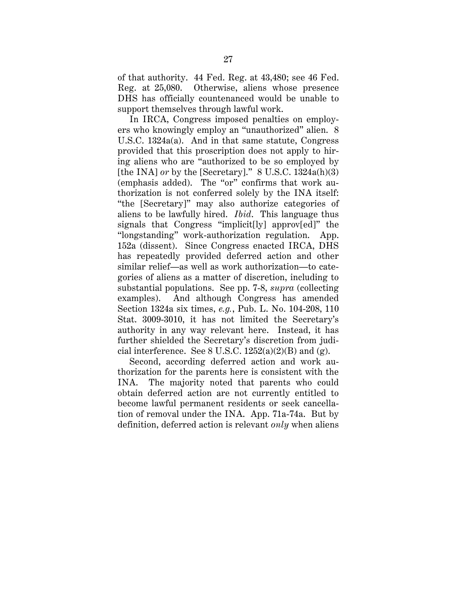of that authority. 44 Fed. Reg. at 43,480; see 46 Fed. Reg. at 25,080. Otherwise, aliens whose presence DHS has officially countenanced would be unable to support themselves through lawful work.

In IRCA, Congress imposed penalties on employers who knowingly employ an "unauthorized" alien. 8 U.S.C. 1324a(a). And in that same statute, Congress provided that this proscription does not apply to hiring aliens who are "authorized to be so employed by [the INA] *or* by the [Secretary]." 8 U.S.C. 1324a(h)(3) (emphasis added). The "or" confirms that work authorization is not conferred solely by the INA itself: "the [Secretary]" may also authorize categories of aliens to be lawfully hired. *Ibid*. This language thus signals that Congress "implicit[ly] approv[ed]" the "longstanding" work-authorization regulation. App. 152a (dissent). Since Congress enacted IRCA, DHS has repeatedly provided deferred action and other similar relief—as well as work authorization—to categories of aliens as a matter of discretion, including to substantial populations. See pp. 7-8, *supra* (collecting examples). And although Congress has amended Section 1324a six times, *e.g.*, Pub. L. No. 104-208, 110 Stat. 3009-3010, it has not limited the Secretary's authority in any way relevant here. Instead, it has further shielded the Secretary's discretion from judicial interference. See  $8 \text{ U.S.C. } 1252(a)(2)(B)$  and  $(g)$ .

Second, according deferred action and work authorization for the parents here is consistent with the INA. The majority noted that parents who could obtain deferred action are not currently entitled to become lawful permanent residents or seek cancellation of removal under the INA. App. 71a-74a. But by definition, deferred action is relevant *only* when aliens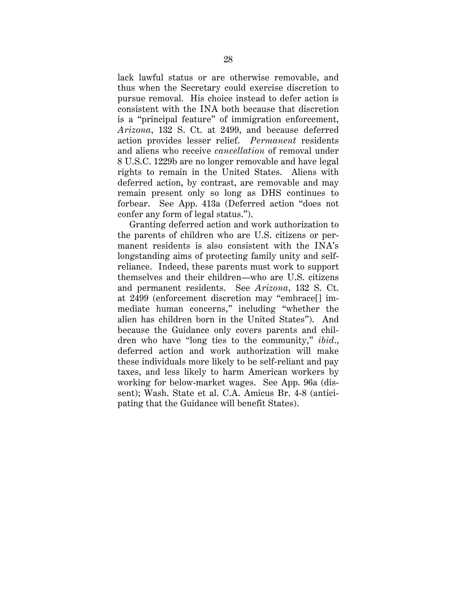lack lawful status or are otherwise removable, and thus when the Secretary could exercise discretion to pursue removal. His choice instead to defer action is consistent with the INA both because that discretion is a "principal feature" of immigration enforcement, *Arizona*, 132 S. Ct. at 2499, and because deferred action provides lesser relief. *Permanent* residents and aliens who receive *cancellation* of removal under 8 U.S.C. 1229b are no longer removable and have legal rights to remain in the United States. Aliens with deferred action, by contrast, are removable and may remain present only so long as DHS continues to forbear. See App. 413a (Deferred action "does not confer any form of legal status.").

Granting deferred action and work authorization to the parents of children who are U.S. citizens or permanent residents is also consistent with the INA's longstanding aims of protecting family unity and selfreliance. Indeed, these parents must work to support themselves and their children—who are U.S. citizens and permanent residents. See *Arizona*, 132 S. Ct. at 2499 (enforcement discretion may "embrace[] immediate human concerns," including "whether the alien has children born in the United States"). And because the Guidance only covers parents and children who have "long ties to the community," *ibid*., deferred action and work authorization will make these individuals more likely to be self-reliant and pay taxes, and less likely to harm American workers by working for below-market wages. See App. 96a (dissent); Wash. State et al. C.A. Amicus Br. 4-8 (anticipating that the Guidance will benefit States).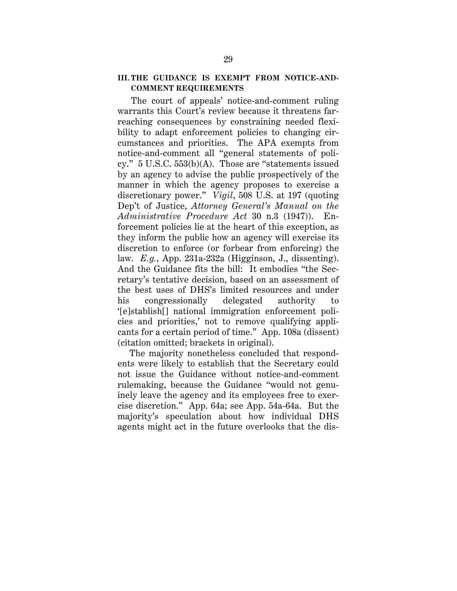## **III. THE GUIDANCE IS EXEMPT FROM NOTICE-AND-COMMENT REQUIREMENTS**

The court of appeals' notice-and-comment ruling warrants this Court's review because it threatens farreaching consequences by constraining needed flexibility to adapt enforcement policies to changing circumstances and priorities. The APA exempts from notice-and-comment all "general statements of policy." 5 U.S.C. 553(b)(A). Those are "statements issued by an agency to advise the public prospectively of the manner in which the agency proposes to exercise a discretionary power." *Vigil*, 508 U.S. at 197 (quoting Dep't of Justice, *Attorney General's Manual on the Administrative Procedure Act* 30 n.3 (1947)). Enforcement policies lie at the heart of this exception, as they inform the public how an agency will exercise its discretion to enforce (or forbear from enforcing) the law. *E.g.*, App. 231a-232a (Higginson, J., dissenting). And the Guidance fits the bill: It embodies "the Secretary's tentative decision, based on an assessment of the best uses of DHS's limited resources and under his congressionally delegated authority to '[e]stablish[] national immigration enforcement policies and priorities,' not to remove qualifying applicants for a certain period of time." App. 108a (dissent) (citation omitted; brackets in original).

The majority nonetheless concluded that respondents were likely to establish that the Secretary could not issue the Guidance without notice-and-comment rulemaking, because the Guidance "would not genuinely leave the agency and its employees free to exercise discretion." App. 64a; see App. 54a-64a. But the majority's speculation about how individual DHS agents might act in the future overlooks that the dis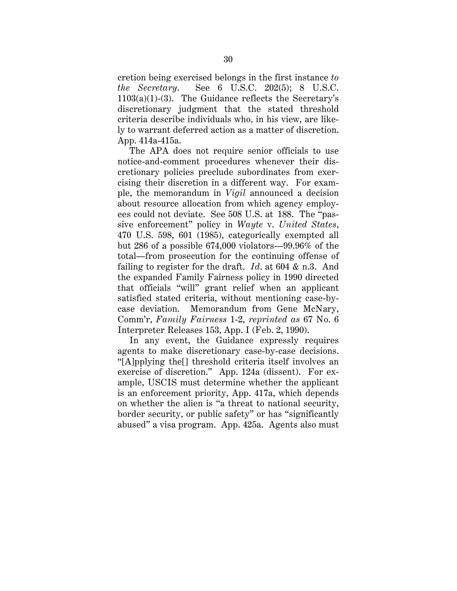cretion being exercised belongs in the first instance *to the Secretary*. See 6 U.S.C. 202(5); 8 U.S.C. 1103(a)(1)-(3). The Guidance reflects the Secretary's discretionary judgment that the stated threshold criteria describe individuals who, in his view, are likely to warrant deferred action as a matter of discretion. App. 414a-415a.

The APA does not require senior officials to use notice-and-comment procedures whenever their discretionary policies preclude subordinates from exercising their discretion in a different way. For example, the memorandum in *Vigil* announced a decision about resource allocation from which agency employees could not deviate. See 508 U.S. at 188. The "passive enforcement" policy in *Wayte* v. *United States*, 470 U.S. 598, 601 (1985), categorically exempted all but 286 of a possible 674,000 violators—99.96% of the total—from prosecution for the continuing offense of failing to register for the draft. *Id*. at 604 & n.3. And the expanded Family Fairness policy in 1990 directed that officials "will" grant relief when an applicant satisfied stated criteria, without mentioning case-bycase deviation. Memorandum from Gene McNary, Comm'r, *Family Fairness* 1-2, *reprinted as* 67 No. 6 Interpreter Releases 153, App. I (Feb. 2, 1990).

In any event, the Guidance expressly requires agents to make discretionary case-by-case decisions. "[A]pplying the[] threshold criteria itself involves an exercise of discretion." App. 124a (dissent). For example, USCIS must determine whether the applicant is an enforcement priority, App. 417a, which depends on whether the alien is "a threat to national security, border security, or public safety" or has "significantly abused" a visa program. App. 425a. Agents also must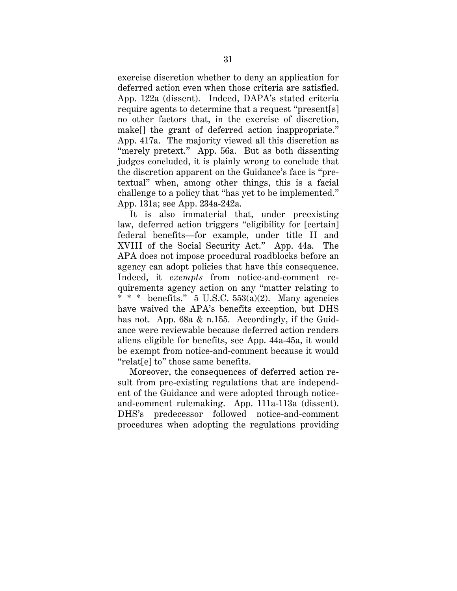exercise discretion whether to deny an application for deferred action even when those criteria are satisfied. App. 122a (dissent). Indeed, DAPA's stated criteria require agents to determine that a request "present[s] no other factors that, in the exercise of discretion, make[] the grant of deferred action inappropriate." App. 417a. The majority viewed all this discretion as "merely pretext." App. 56a. But as both dissenting judges concluded, it is plainly wrong to conclude that the discretion apparent on the Guidance's face is "pretextual" when, among other things, this is a facial challenge to a policy that "has yet to be implemented." App. 131a; see App. 234a-242a.

It is also immaterial that, under preexisting law, deferred action triggers "eligibility for [certain] federal benefits—for example, under title II and XVIII of the Social Security Act." App. 44a. The APA does not impose procedural roadblocks before an agency can adopt policies that have this consequence. Indeed, it *exempts* from notice-and-comment requirements agency action on any "matter relating to \* \* \* benefits." 5 U.S.C. 553(a)(2). Many agencies have waived the APA's benefits exception, but DHS has not. App. 68a & n.155. Accordingly, if the Guidance were reviewable because deferred action renders aliens eligible for benefits, see App. 44a-45a, it would be exempt from notice-and-comment because it would "relat[e] to" those same benefits.

Moreover, the consequences of deferred action result from pre-existing regulations that are independent of the Guidance and were adopted through noticeand-comment rulemaking. App. 111a-113a (dissent). DHS's predecessor followed notice-and-comment procedures when adopting the regulations providing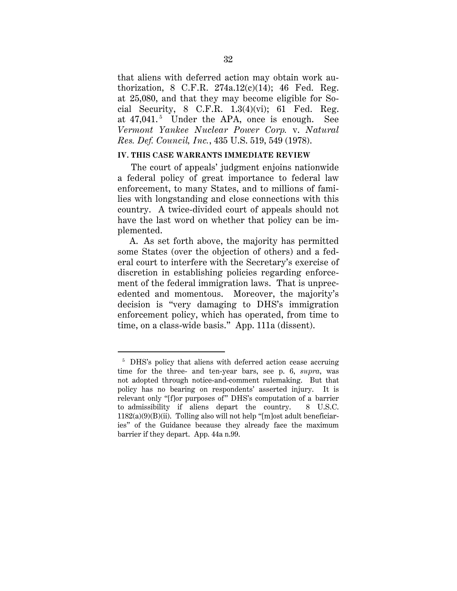that aliens with deferred action may obtain work authorization, 8 C.F.R.  $274a.12(c)(14)$ ; 46 Fed. Reg. at 25,080, and that they may become eligible for Social Security, 8 C.F.R.  $1.3(4)(vi)$ ; 61 Fed. Reg. at 47,041.<sup>5</sup> Under the APA, once is enough. See *Vermont Yankee Nuclear Power Corp.* v. *Natural Res. Def. Council, Inc.*, 435 U.S. 519, 549 (1978).

## **IV. THIS CASE WARRANTS IMMEDIATE REVIEW**

The court of appeals' judgment enjoins nationwide a federal policy of great importance to federal law enforcement, to many States, and to millions of families with longstanding and close connections with this country. A twice-divided court of appeals should not have the last word on whether that policy can be implemented.

A. As set forth above, the majority has permitted some States (over the objection of others) and a federal court to interfere with the Secretary's exercise of discretion in establishing policies regarding enforcement of the federal immigration laws. That is unprecedented and momentous. Moreover, the majority's decision is "very damaging to DHS's immigration enforcement policy, which has operated, from time to time, on a class-wide basis." App. 111a (dissent).

 <sup>5</sup> DHS's policy that aliens with deferred action cease accruing time for the three- and ten-year bars, see p. 6, *supra*, was not adopted through notice-and-comment rulemaking. But that policy has no bearing on respondents' asserted injury. It is relevant only "[f]or purposes of" DHS's computation of a barrier to admissibility if aliens depart the country. 8 U.S.C.  $1182(a)(9)(B)(ii)$ . Tolling also will not help "[m]ost adult beneficiaries" of the Guidance because they already face the maximum barrier if they depart. App. 44a n.99.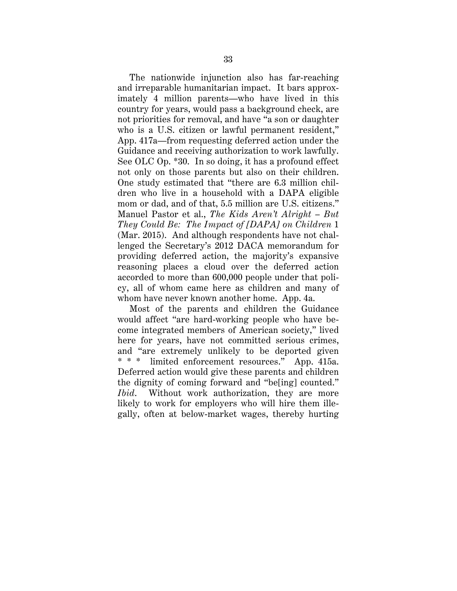The nationwide injunction also has far-reaching and irreparable humanitarian impact. It bars approximately 4 million parents—who have lived in this country for years, would pass a background check, are not priorities for removal, and have "a son or daughter who is a U.S. citizen or lawful permanent resident," App. 417a—from requesting deferred action under the Guidance and receiving authorization to work lawfully. See OLC Op. \*30. In so doing, it has a profound effect not only on those parents but also on their children. One study estimated that "there are 6.3 million children who live in a household with a DAPA eligible mom or dad, and of that, 5.5 million are U.S. citizens." Manuel Pastor et al., *The Kids Aren't Alright – But They Could Be: The Impact of [DAPA] on Children* 1 (Mar. 2015). And although respondents have not challenged the Secretary's 2012 DACA memorandum for providing deferred action, the majority's expansive reasoning places a cloud over the deferred action accorded to more than 600,000 people under that policy, all of whom came here as children and many of whom have never known another home. App. 4a.

Most of the parents and children the Guidance would affect "are hard-working people who have become integrated members of American society," lived here for years, have not committed serious crimes, and "are extremely unlikely to be deported given \* \* \* limited enforcement resources." App. 415a. Deferred action would give these parents and children the dignity of coming forward and "be[ing] counted." *Ibid*. Without work authorization, they are more likely to work for employers who will hire them illegally, often at below-market wages, thereby hurting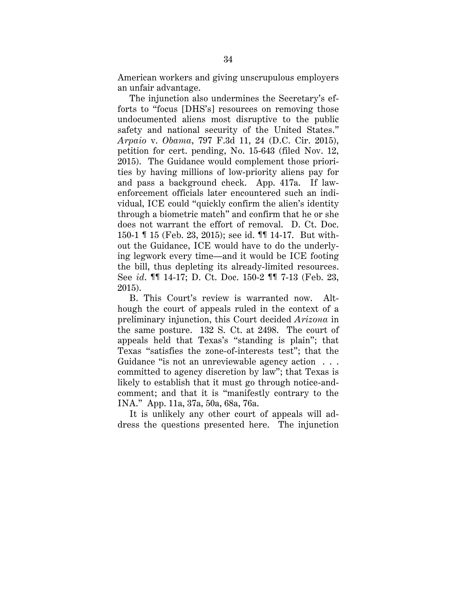American workers and giving unscrupulous employers an unfair advantage.

The injunction also undermines the Secretary's efforts to "focus [DHS's] resources on removing those undocumented aliens most disruptive to the public safety and national security of the United States." *Arpaio* v. *Obama*, 797 F.3d 11, 24 (D.C. Cir. 2015), petition for cert. pending, No. 15-643 (filed Nov. 12, 2015). The Guidance would complement those priorities by having millions of low-priority aliens pay for and pass a background check. App. 417a. If lawenforcement officials later encountered such an individual, ICE could "quickly confirm the alien's identity through a biometric match" and confirm that he or she does not warrant the effort of removal. D. Ct. Doc. 150-1 ¶ 15 (Feb. 23, 2015); see id. ¶¶ 14-17. But without the Guidance, ICE would have to do the underlying legwork every time—and it would be ICE footing the bill, thus depleting its already-limited resources. See *id*. ¶¶ 14-17; D. Ct. Doc. 150-2 ¶¶ 7-13 (Feb. 23, 2015).

B. This Court's review is warranted now. Although the court of appeals ruled in the context of a preliminary injunction, this Court decided *Arizona* in the same posture. 132 S. Ct. at 2498. The court of appeals held that Texas's "standing is plain"; that Texas "satisfies the zone-of-interests test"; that the Guidance "is not an unreviewable agency action . . . committed to agency discretion by law"; that Texas is likely to establish that it must go through notice-andcomment; and that it is "manifestly contrary to the INA." App. 11a, 37a, 50a, 68a, 76a.

It is unlikely any other court of appeals will address the questions presented here. The injunction